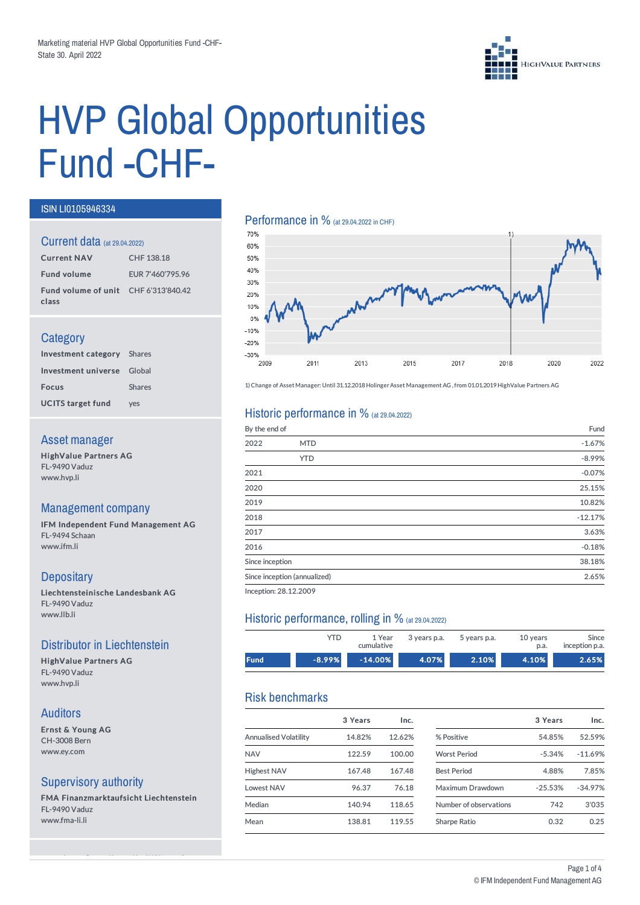

# HVP Global Opportunities Fund-CHF-

#### ISIN LI0105946334

#### Current data (at 29.04.2022)

| <b>Current NAV</b>                            | CHF 138.18       |
|-----------------------------------------------|------------------|
| <b>Fund volume</b>                            | EUR 7'460'795.96 |
| Fund volume of unit CHF 6'313'840.42<br>class |                  |

#### **Category**

| <b>Investment category</b> Shares |               |
|-----------------------------------|---------------|
| Investment universe Global        |               |
| <b>Focus</b>                      | <b>Shares</b> |
| <b>UCITS target fund</b>          | ves           |

#### Asset manager

HighValue Partners AG FL-9490 Vaduz www.hvp.li

#### Management company

IFM Independent Fund Management AG FL-9494 Schaan www.ifm.li

# **Depositary**

Liechtensteinische Landesbank AG FL-9490 Vaduz www.llb.li

### Distributor in Liechtenstein

HighValue Partners AG FL-9490 Vaduz www.hvp.li

#### Auditors

Ernst & Young AG CH-3008 Bern www.ey.com

#### Supervisory authority

FMA Finanzmarktaufsicht Liechtenstein FL-9490 Vaduz www.fma-li.li

see webpage (https://www.ifm.li/Glossary)

# Performance in % (at 29.04.2022 in CHF)



1) Change of Asset Manager: Until 31.12.2018 Holinger Asset Management AG, from 01.01.2019 HighValue Partners AG

#### Historic performance in  $%$  (at 29.04.2022)

| By the end of   |                              | Fund      |
|-----------------|------------------------------|-----------|
| 2022            | <b>MTD</b>                   | $-1.67%$  |
|                 | <b>YTD</b>                   | $-8.99%$  |
| 2021            |                              | $-0.07%$  |
| 2020            |                              | 25.15%    |
| 2019            |                              | 10.82%    |
| 2018            |                              | $-12.17%$ |
| 2017            |                              | 3.63%     |
| 2016            |                              | $-0.18%$  |
| Since inception |                              | 38.18%    |
|                 | Since inception (annualized) | 2.65%     |
|                 |                              |           |

Inception: 28.12.2009

#### Historic performance, rolling in % (at 29.04.2022)

|             | YTD      | 1 Year<br>cumulative | 3 years p.a. | 5 years p.a. | 10 years<br>p.a. | Since<br>inception p.a. |
|-------------|----------|----------------------|--------------|--------------|------------------|-------------------------|
| <b>Fund</b> | $-8.99%$ | $-14.00\%$           | 4.07%        | 2.10%        | 4.10%            | 2.65%                   |

# Risk benchmarks

|                       | 3 Years | Inc.   |                        | 3 Years   | Inc.      |
|-----------------------|---------|--------|------------------------|-----------|-----------|
| Annualised Volatility | 14.82%  | 12.62% | % Positive             | 54.85%    | 52.59%    |
| <b>NAV</b>            | 122.59  | 100.00 | <b>Worst Period</b>    | $-5.34%$  | $-11.69%$ |
| <b>Highest NAV</b>    | 167.48  | 167.48 | <b>Best Period</b>     | 4.88%     | 7.85%     |
| <b>Lowest NAV</b>     | 96.37   | 76.18  | Maximum Drawdown       | $-25.53%$ | $-34.97%$ |
| Median                | 140.94  | 118.65 | Number of observations | 742       | 3'035     |
| Mean                  | 138.81  | 119.55 | Sharpe Ratio           | 0.32      | 0.25      |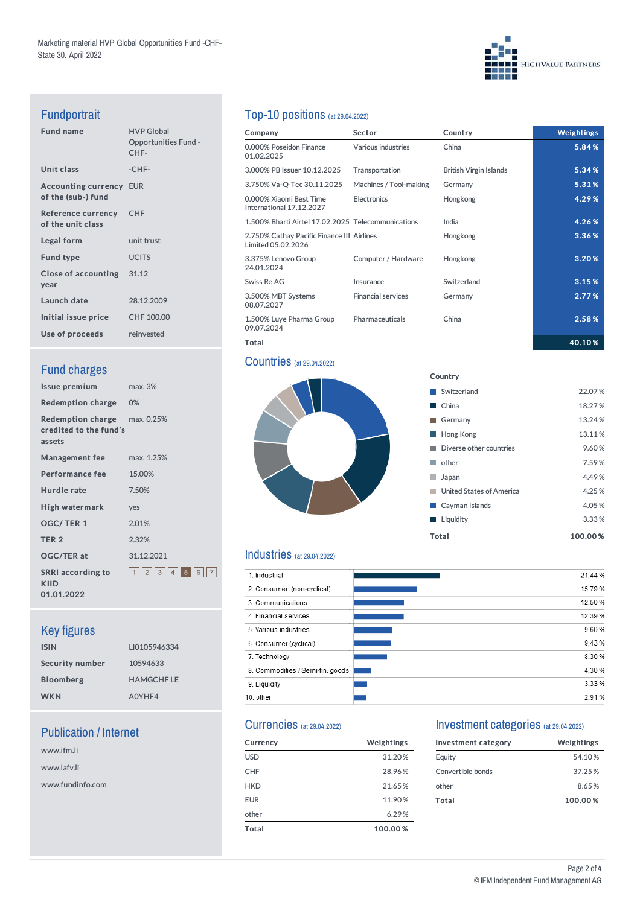# **HIGHVALUE PARTNERS**

# Fundportrait

| <b>HVP Global</b><br><b>Opportunities Fund -</b><br>CHF- |
|----------------------------------------------------------|
| -CHF-                                                    |
| <b>Accounting currency EUR</b>                           |
| <b>CHF</b>                                               |
| unit trust                                               |
| <b>UCITS</b>                                             |
| Close of accounting 31.12                                |
| 28.12.2009                                               |
| CHF 100.00                                               |
| reinvested                                               |
|                                                          |

# **Fund charges**

| Issue premium                                                           | max.3%              |
|-------------------------------------------------------------------------|---------------------|
| Redemption charge 0%                                                    |                     |
| <b>Redemption charge</b> max. 0.25%<br>credited to the fund's<br>assets |                     |
| <b>Management fee</b>                                                   | max. 1.25%          |
| <b>Performance fee</b>                                                  | 15.00%              |
| Hurdle rate                                                             | 7.50%               |
| High watermark                                                          | ves                 |
| <b>OGC/TER1</b>                                                         | 2.01%               |
| TER <sub>2</sub>                                                        | 2.32%               |
| <b>OGC/TER at</b>                                                       | 31.12.2021          |
| <b>SRRI</b> according to<br><b>KIID</b><br>01.01.2022                   | 1  2  3  4  5  6  7 |

# Key figures

| <b>ISIN</b>      | LI0105946334     |
|------------------|------------------|
| Security number  | 10594633         |
| <b>Bloomberg</b> | <b>HAMGCHFLE</b> |
| <b>WKN</b>       | A0YHF4           |

# Publication / Internet

www.ifm.li www.lafv.li www.fundinfo.com

# Top-10 positions (at 29.04.2022)

| Company                                                          | <b>Sector</b>             | Country                       | <b>Weightings</b> |
|------------------------------------------------------------------|---------------------------|-------------------------------|-------------------|
| 0.000% Poseidon Finance<br>01.02.2025                            | Various industries        | China                         | 5.84%             |
| 3.000% PB Issuer 10.12.2025                                      | Transportation            | <b>British Virgin Islands</b> | 5.34%             |
| 3.750% Va-Q-Tec 30.11.2025                                       | Machines / Tool-making    | Germany                       | 5.31%             |
| 0.000% Xiaomi Best Time<br>International 17.12.2027              | Electronics               | Hongkong                      | 4.29%             |
| 1.500% Bharti Airtel 17.02.2025 Telecommunications               |                           | India                         | 4.26%             |
| 2.750% Cathay Pacific Finance III Airlines<br>Limited 05.02.2026 |                           | Hongkong                      | 3.36%             |
| 3.375% Lenovo Group<br>24.01.2024                                | Computer / Hardware       | Hongkong                      | 3.20%             |
| Swiss Re AG                                                      | Insurance                 | Switzerland                   | 3.15%             |
| 3.500% MBT Systems<br>08.07.2027                                 | <b>Financial services</b> | Germany                       | 2.77%             |
| 1.500% Luye Pharma Group<br>09.07.2024                           | <b>Pharmaceuticals</b>    | China                         | 2.58%             |
| Total                                                            |                           |                               | 40.10%            |

Country

■ Switzerland 22.07 % ■ China 18.27 % Germany 13.24% **Hong Kong 13.11%** ■ Diverse other countries 9.60 % ■ other 7.59 % Japan 4.49% ■ United States of America 4.25 % **Cayman Islands** 4.05 % ■ Liquidity 3.33 % Total 100.00 %

#### **Countries** (at 29.04.2022)



### Industries (at 29.04.2022)

| 1. Industrial                    | 21.44 % |
|----------------------------------|---------|
| 2. Consumer (non-cyclical)       | 15.79 % |
| 3. Communications                | 12.50 % |
| 4. Financial services            | 12.39 % |
| 5. Various industries            | 9.60%   |
| 6. Consumer (cyclical)           | 9.43%   |
| 7. Technology                    | 8.30 %  |
| 8. Commodities / Semi-fin. goods | 4.30 %  |
| 9. Liquidity                     | 3.33 %  |
| 10. other                        | 2.91%   |

#### Currencies (at 29.04.2022)

| <b>Currency</b> | Weightings |
|-----------------|------------|
| <b>USD</b>      | 31.20%     |
| <b>CHF</b>      | 28.96%     |
| <b>HKD</b>      | 21.65%     |
| <b>EUR</b>      | 11.90%     |
| other           | 6.29%      |
| Total           | 100.00%    |

#### Investment categories (at 29.04.2022)

| Investment category | Weightings |
|---------------------|------------|
| Equity              | 54.10%     |
| Convertible bonds   | 37.25%     |
| other               | 8.65%      |
| Total               | 100.00%    |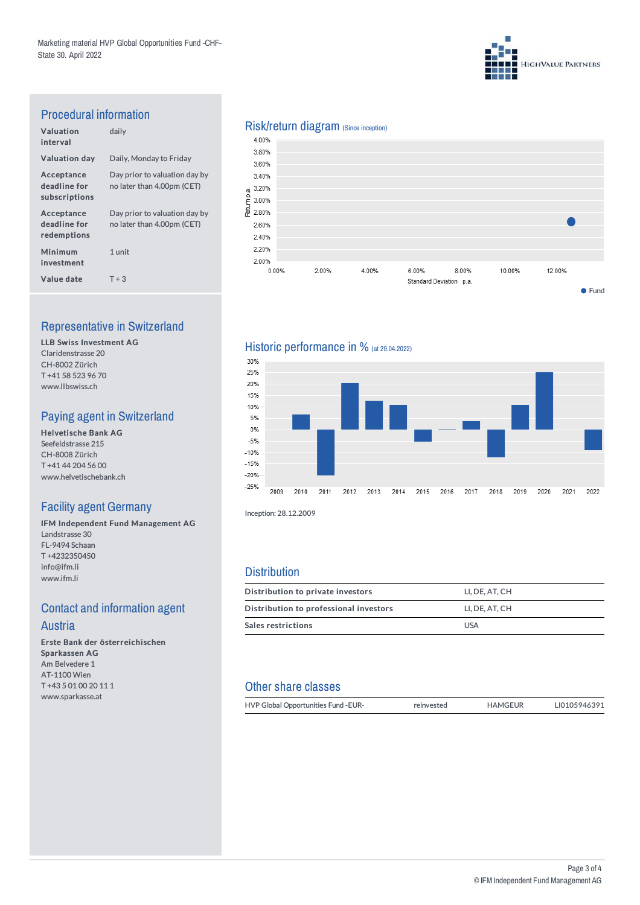

# Procedural information

| Valuation<br>interval                       | daily                                                       |
|---------------------------------------------|-------------------------------------------------------------|
| <b>Valuation day</b>                        | Daily, Monday to Friday                                     |
| Acceptance<br>deadline for<br>subscriptions | Day prior to valuation day by<br>no later than 4.00pm (CET) |
| Acceptance<br>deadline for<br>redemptions   | Day prior to valuation day by<br>no later than 4.00pm (CET) |
| <b>Minimum</b><br>investment                | 1 unit                                                      |
| Value date                                  | $T + 3$                                                     |

# Representative in Switzerland

LLB Swiss Investment AG Claridenstrasse 20 CH-8002 Zürich T +41 58 523 96 70 www.llbswiss.ch

# Paying agent in Switzerland

Helvetische Bank AG Seefeldstrasse 215 CH-8008 Zürich T +41 44 204 56 00 www.helvetischebank.ch

# Facility agent Germany

IFM Independent Fund Management AG Landstrasse 30 FL-9494 Schaan T +4232350450 info@ifm.li www.ifm.li

# **Contact and information agent** Austria

Erste Bank der österreichischen Sparkassen AG Am Belvedere 1 AT-1100 Wien T +43 5 01 00 20 11 1 www.sparkasse.at

# Risk/return diagram (Since inception)



# Historic performance in % (at 29.04.2022)



Inception: 28.12.2009

#### **Distribution**

| Distribution to private investors      | LI. DE. AT. CH |
|----------------------------------------|----------------|
| Distribution to professional investors | LI. DE. AT. CH |
| Sales restrictions                     | <b>USA</b>     |

# Other share classes

| HVP Global Opportunities Fund - EUR- | reinvested | <b>HAMGEUR</b> | LI0105946391 |
|--------------------------------------|------------|----------------|--------------|
|                                      |            |                |              |